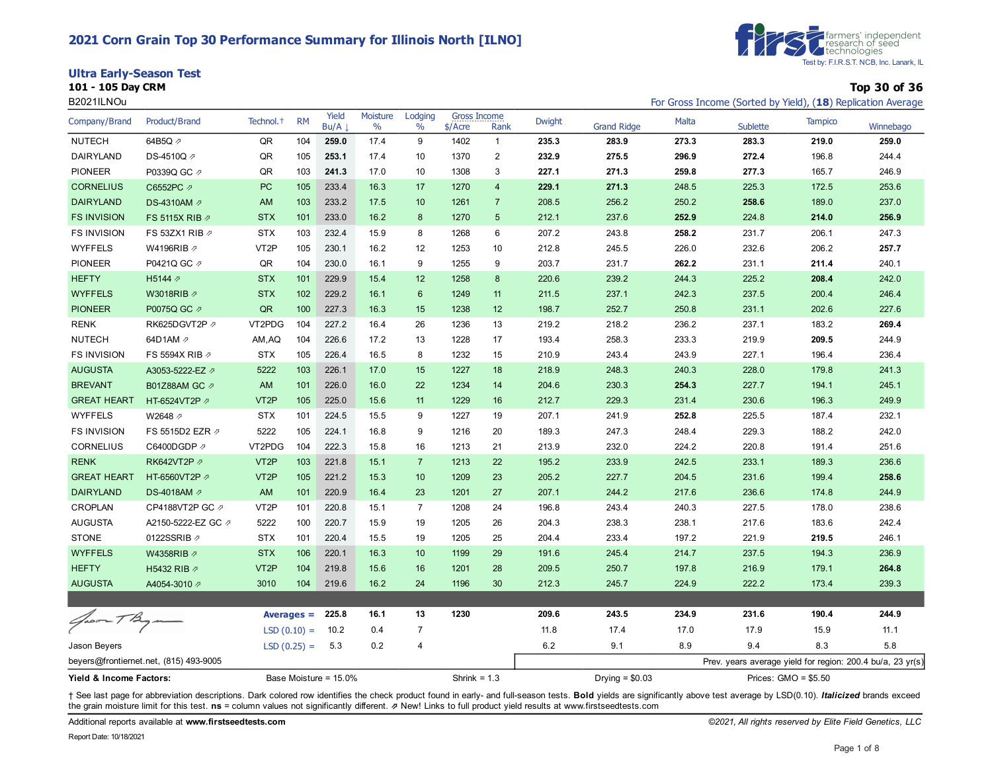#### **2021 Corn Grain Top 30 Performance Summary for Illinois North [ILNO]**

**Ultra Early-Season Test**

**101 - 105 Day CRM Top 30 of 36**



| B2021ILNOu              |                                        |                       |               |                       |                  |                 |                                  |                |               |                    |              | For Gross Income (Sorted by Yield), (18) Replication Average |                       |           |
|-------------------------|----------------------------------------|-----------------------|---------------|-----------------------|------------------|-----------------|----------------------------------|----------------|---------------|--------------------|--------------|--------------------------------------------------------------|-----------------------|-----------|
| Company/Brand           | Product/Brand                          | Technol. <sup>+</sup> | <b>RM</b>     | Yield<br>Bu/A         | Moisture<br>$\%$ | Lodging<br>$\%$ | <b>Gross Income</b><br>$$/$ Acre | Rank           | <b>Dwight</b> | <b>Grand Ridge</b> | <b>Malta</b> | Sublette                                                     | <b>Tampico</b>        | Winnebago |
| <b>NUTECH</b>           | 64B5Q 2                                | QR                    | 104           | 259.0                 | 17.4             | 9               | 1402                             | $\mathbf{1}$   | 235.3         | 283.9              | 273.3        | 283.3                                                        | 219.0                 | 259.0     |
| DAIRYLAND               | DS-4510Q /                             | QR                    | 105           | 253.1                 | 17.4             | 10              | 1370                             | $\overline{c}$ | 232.9         | 275.5              | 296.9        | 272.4                                                        | 196.8                 | 244.4     |
| <b>PIONEER</b>          | P0339Q GC 2                            | QR                    | 103           | 241.3                 | 17.0             | 10              | 1308                             | 3              | 227.1         | 271.3              | 259.8        | 277.3                                                        | 165.7                 | 246.9     |
| <b>CORNELIUS</b>        | C6552PC 2                              | PC                    | 105           | 233.4                 | 16.3             | 17              | 1270                             | $\overline{4}$ | 229.1         | 271.3              | 248.5        | 225.3                                                        | 172.5                 | 253.6     |
| <b>DAIRYLAND</b>        | DS-4310AM 2                            | AM                    | 103           | 233.2                 | 17.5             | 10              | 1261                             | $\overline{7}$ | 208.5         | 256.2              | 250.2        | 258.6                                                        | 189.0                 | 237.0     |
| <b>FS INVISION</b>      | FS 5115X RIB $\varnothing$             | <b>STX</b>            | 101           | 233.0                 | 16.2             | 8               | 1270                             | 5              | 212.1         | 237.6              | 252.9        | 224.8                                                        | 214.0                 | 256.9     |
| <b>FS INVISION</b>      | FS 53ZX1 RIB 2                         | <b>STX</b>            | 103           | 232.4                 | 15.9             | 8               | 1268                             | 6              | 207.2         | 243.8              | 258.2        | 231.7                                                        | 206.1                 | 247.3     |
| <b>WYFFELS</b>          | W4196RIB 2                             | VT <sub>2</sub> P     | 105           | 230.1                 | 16.2             | 12              | 1253                             | 10             | 212.8         | 245.5              | 226.0        | 232.6                                                        | 206.2                 | 257.7     |
| <b>PIONEER</b>          | P0421Q GC 2                            | QR                    | 104           | 230.0                 | 16.1             | 9               | 1255                             | 9              | 203.7         | 231.7              | 262.2        | 231.1                                                        | 211.4                 | 240.1     |
| <b>HEFTY</b>            | H5144 7                                | <b>STX</b>            | 101           | 229.9                 | 15.4             | 12              | 1258                             | 8              | 220.6         | 239.2              | 244.3        | 225.2                                                        | 208.4                 | 242.0     |
| <b>WYFFELS</b>          | W3018RIB ク                             | <b>STX</b>            | 102           | 229.2                 | 16.1             | 6               | 1249                             | 11             | 211.5         | 237.1              | 242.3        | 237.5                                                        | 200.4                 | 246.4     |
| <b>PIONEER</b>          | P0075Q GC 2                            | QR                    | 100           | 227.3                 | 16.3             | 15              | 1238                             | 12             | 198.7         | 252.7              | 250.8        | 231.1                                                        | 202.6                 | 227.6     |
| <b>RENK</b>             | RK625DGVT2P 2                          | VT2PDG                | 104           | 227.2                 | 16.4             | 26              | 1236                             | 13             | 219.2         | 218.2              | 236.2        | 237.1                                                        | 183.2                 | 269.4     |
| <b>NUTECH</b>           | 64D1AM 2                               | AM, AQ                | 104           | 226.6                 | 17.2             | 13              | 1228                             | 17             | 193.4         | 258.3              | 233.3        | 219.9                                                        | 209.5                 | 244.9     |
| <b>FS INVISION</b>      | FS 5594X RIB 2                         | <b>STX</b>            | 105           | 226.4                 | 16.5             | 8               | 1232                             | 15             | 210.9         | 243.4              | 243.9        | 227.1                                                        | 196.4                 | 236.4     |
| <b>AUGUSTA</b>          | A3053-5222-EZ 2                        | 5222                  | 103           | 226.1                 | 17.0             | 15              | 1227                             | 18             | 218.9         | 248.3              | 240.3        | 228.0                                                        | 179.8                 | 241.3     |
| <b>BREVANT</b>          | B01Z88AM GC 2                          | AM                    | 101           | 226.0                 | 16.0             | 22              | 1234                             | 14             | 204.6         | 230.3              | 254.3        | 227.7                                                        | 194.1                 | 245.1     |
| <b>GREAT HEART</b>      | HT-6524VT2P 2                          | VT <sub>2</sub> P     | 105           | 225.0                 | 15.6             | 11              | 1229                             | 16             | 212.7         | 229.3              | 231.4        | 230.6                                                        | 196.3                 | 249.9     |
| <b>WYFFELS</b>          | W2648 2                                | <b>STX</b>            | 101           | 224.5                 | 15.5             | 9               | 1227                             | 19             | 207.1         | 241.9              | 252.8        | 225.5                                                        | 187.4                 | 232.1     |
| <b>FS INVISION</b>      | FS 5515D2 EZR 2                        | 5222                  | 105           | 224.1                 | 16.8             | 9               | 1216                             | 20             | 189.3         | 247.3              | 248.4        | 229.3                                                        | 188.2                 | 242.0     |
| CORNELIUS               | C6400DGDP 2                            | VT2PDG                | 104           | 222.3                 | 15.8             | 16              | 1213                             | 21             | 213.9         | 232.0              | 224.2        | 220.8                                                        | 191.4                 | 251.6     |
| <b>RENK</b>             | RK642VT2P 2                            | VT <sub>2P</sub>      | 103           | 221.8                 | 15.1             | $\overline{7}$  | 1213                             | 22             | 195.2         | 233.9              | 242.5        | 233.1                                                        | 189.3                 | 236.6     |
| <b>GREAT HEART</b>      | HT-6560VT2P 2                          | VT <sub>2P</sub>      | 105           | 221.2                 | 15.3             | 10              | 1209                             | 23             | 205.2         | 227.7              | 204.5        | 231.6                                                        | 199.4                 | 258.6     |
| <b>DAIRYLAND</b>        | DS-4018AM 2                            | AM                    | 101           | 220.9                 | 16.4             | 23              | 1201                             | 27             | 207.1         | 244.2              | 217.6        | 236.6                                                        | 174.8                 | 244.9     |
| <b>CROPLAN</b>          | CP4188VT2P GC ク                        | VT <sub>2</sub> P     | 101           | 220.8                 | 15.1             | $\overline{7}$  | 1208                             | 24             | 196.8         | 243.4              | 240.3        | 227.5                                                        | 178.0                 | 238.6     |
| <b>AUGUSTA</b>          | A2150-5222-EZ GC 2                     | 5222                  | 100           | 220.7                 | 15.9             | 19              | 1205                             | 26             | 204.3         | 238.3              | 238.1        | 217.6                                                        | 183.6                 | 242.4     |
| <b>STONE</b>            | 0122SSRIB 2                            | <b>STX</b>            | 101           | 220.4                 | 15.5             | 19              | 1205                             | 25             | 204.4         | 233.4              | 197.2        | 221.9                                                        | 219.5                 | 246.1     |
| <b>WYFFELS</b>          | W4358RIB Ø                             | <b>STX</b>            | 106           | 220.1                 | 16.3             | 10              | 1199                             | 29             | 191.6         | 245.4              | 214.7        | 237.5                                                        | 194.3                 | 236.9     |
| <b>HEFTY</b>            | H5432 RIB 2                            | VT <sub>2</sub> P     | 104           | 219.8                 | 15.6             | 16              | 1201                             | 28             | 209.5         | 250.7              | 197.8        | 216.9                                                        | 179.1                 | 264.8     |
| <b>AUGUSTA</b>          | A4054-3010 2                           | 3010                  | 104           | 219.6                 | 16.2             | 24              | 1196                             | 30             | 212.3         | 245.7              | 224.9        | 222.2                                                        | 173.4                 | 239.3     |
|                         |                                        |                       |               |                       |                  |                 |                                  |                |               |                    |              |                                                              |                       |           |
| Groom T Bym             |                                        |                       | Averages $=$  | 225.8                 | 16.1             | 13              | 1230                             |                | 209.6         | 243.5              | 234.9        | 231.6                                                        | 190.4                 | 244.9     |
|                         |                                        |                       | $LSD(0.10) =$ | 10.2                  | 0.4              | $\overline{7}$  |                                  |                | 11.8          | 17.4               | 17.0         | 17.9                                                         | 15.9                  | 11.1      |
| Jason Beyers            |                                        |                       | $LSD(0.25) =$ | 5.3                   | 0.2              | 4               |                                  |                | 6.2           | 9.1                | 8.9          | 9.4                                                          | 8.3                   | 5.8       |
|                         | beyers@frontiernet.net, (815) 493-9005 |                       |               |                       |                  |                 |                                  |                |               |                    |              | Prev. years average yield for region: 200.4 bu/a, 23 yr(s)   |                       |           |
| Yield & Income Factors: |                                        |                       |               | Base Moisture = 15.0% |                  |                 | Shrink = $1.3$                   |                |               | Drying = $$0.03$   |              |                                                              | Prices: $GMO = $5.50$ |           |

+ See last page for abbreviation descriptions. Dark colored row identifies the check product found in early- and full-season tests. Bold yields are significantly above test average by LSD(0.10). Italicized brands exceed the grain moisture limit for this test. **ns** = column values not significantly different. ⇗ New! Links to full product yield results at www.firstseedtests.com

Additional reports available at **[www.firstseedtests.com](https://www.firstseedtests.com)** *©2021, All rights reserved by Elite Field Genetics, LLC*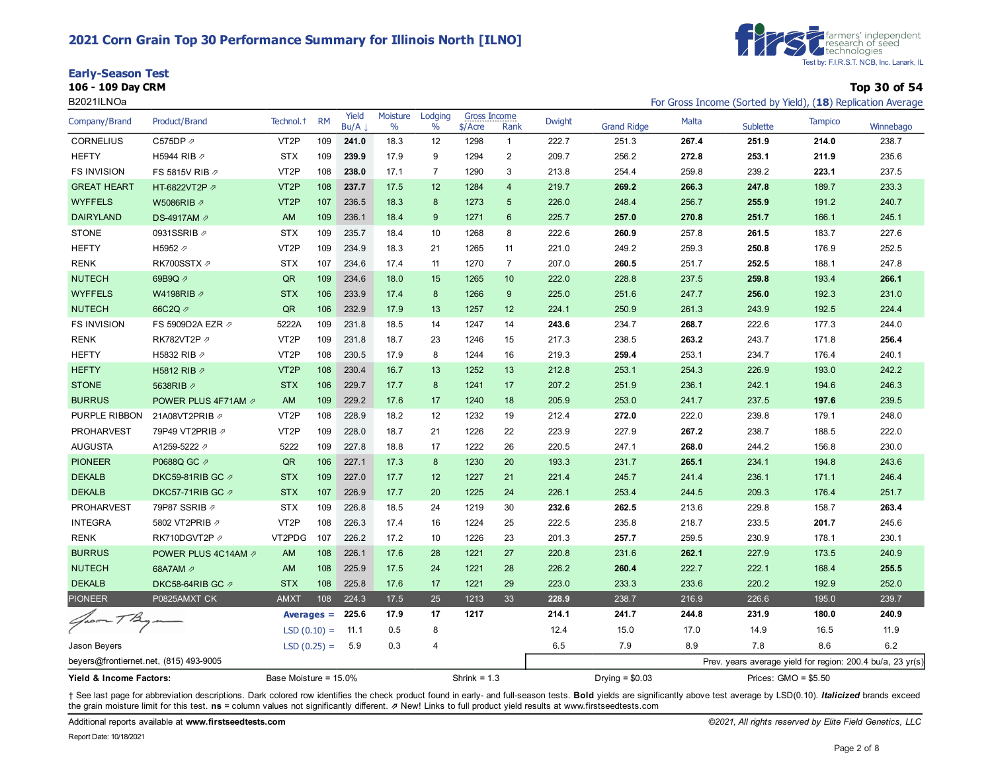# **2021 Corn Grain Top 30 Performance Summary for Illinois North [ILNO]**

| <b>Early-Season Test</b> |  |
|--------------------------|--|
|--------------------------|--|

**106 - 109 Day CRM Top 30 of 54**



B2021ILNOa For Gross Income (Sorted by Yield), (18) Replication Average and Sorted by Yield), (18) Replication Average

| Company/Brand                          | Product/Brand       | Technol. <sup>+</sup> | <b>RM</b> | Yield<br>Bu/A | Moisture<br>$\frac{0}{0}$ | Lodging<br>$\%$  | Gross Income<br>$$/$ Acre | Rank           | <b>Dwight</b> | <b>Grand Ridge</b> | Malta | Sublette                                                   | <b>Tampico</b> | Winnebago |
|----------------------------------------|---------------------|-----------------------|-----------|---------------|---------------------------|------------------|---------------------------|----------------|---------------|--------------------|-------|------------------------------------------------------------|----------------|-----------|
| <b>CORNELIUS</b>                       | C575DP 2            | VT <sub>2</sub> P     | 109       | 241.0         | 18.3                      | 12               | 1298                      | $\mathbf{1}$   | 222.7         | 251.3              | 267.4 | 251.9                                                      | 214.0          | 238.7     |
| <b>HEFTY</b>                           | H5944 RIB 2         | <b>STX</b>            | 109       | 239.9         | 17.9                      | 9                | 1294                      | $\overline{2}$ | 209.7         | 256.2              | 272.8 | 253.1                                                      | 211.9          | 235.6     |
| <b>FS INVISION</b>                     | FS 5815V RIB 2      | VT <sub>2</sub> P     | 108       | 238.0         | 17.1                      | $\overline{7}$   | 1290                      | 3              | 213.8         | 254.4              | 259.8 | 239.2                                                      | 223.1          | 237.5     |
| <b>GREAT HEART</b>                     | HT-6822VT2P 2       | VT <sub>2</sub> P     | 108       | 237.7         | 17.5                      | 12               | 1284                      | $\overline{4}$ | 219.7         | 269.2              | 266.3 | 247.8                                                      | 189.7          | 233.3     |
| <b>WYFFELS</b>                         | W5086RIB 2          | VT <sub>2P</sub>      | 107       | 236.5         | 18.3                      | $\boldsymbol{8}$ | 1273                      | 5              | 226.0         | 248.4              | 256.7 | 255.9                                                      | 191.2          | 240.7     |
| <b>DAIRYLAND</b>                       | DS-4917AM 2         | AM                    | 109       | 236.1         | 18.4                      | 9                | 1271                      | $6\phantom{1}$ | 225.7         | 257.0              | 270.8 | 251.7                                                      | 166.1          | 245.1     |
| <b>STONE</b>                           | 0931SSRIB 2         | <b>STX</b>            | 109       | 235.7         | 18.4                      | 10               | 1268                      | 8              | 222.6         | 260.9              | 257.8 | 261.5                                                      | 183.7          | 227.6     |
| <b>HEFTY</b>                           | H5952 2             | VT <sub>2</sub> P     | 109       | 234.9         | 18.3                      | 21               | 1265                      | 11             | 221.0         | 249.2              | 259.3 | 250.8                                                      | 176.9          | 252.5     |
| <b>RENK</b>                            | RK700SSTX 2         | <b>STX</b>            | 107       | 234.6         | 17.4                      | 11               | 1270                      | $\overline{7}$ | 207.0         | 260.5              | 251.7 | 252.5                                                      | 188.1          | 247.8     |
| <b>NUTECH</b>                          | 69B9Q 2             | QR                    | 109       | 234.6         | 18.0                      | 15               | 1265                      | 10             | 222.0         | 228.8              | 237.5 | 259.8                                                      | 193.4          | 266.1     |
| <b>WYFFELS</b>                         | W4198RIB 2          | <b>STX</b>            | 106       | 233.9         | 17.4                      | $\boldsymbol{8}$ | 1266                      | 9              | 225.0         | 251.6              | 247.7 | 256.0                                                      | 192.3          | 231.0     |
| <b>NUTECH</b>                          | 66C2Q 2             | QR                    | 106       | 232.9         | 17.9                      | 13               | 1257                      | 12             | 224.1         | 250.9              | 261.3 | 243.9                                                      | 192.5          | 224.4     |
| <b>FS INVISION</b>                     | FS 5909D2A EZR 2    | 5222A                 | 109       | 231.8         | 18.5                      | 14               | 1247                      | 14             | 243.6         | 234.7              | 268.7 | 222.6                                                      | 177.3          | 244.0     |
| <b>RENK</b>                            | RK782VT2P 2         | VT <sub>2</sub> P     | 109       | 231.8         | 18.7                      | 23               | 1246                      | 15             | 217.3         | 238.5              | 263.2 | 243.7                                                      | 171.8          | 256.4     |
| <b>HEFTY</b>                           | H5832 RIB 2         | VT <sub>2</sub> P     | 108       | 230.5         | 17.9                      | 8                | 1244                      | 16             | 219.3         | 259.4              | 253.1 | 234.7                                                      | 176.4          | 240.1     |
| <b>HEFTY</b>                           | H5812 RIB 2         | VT <sub>2</sub> P     | 108       | 230.4         | 16.7                      | 13               | 1252                      | 13             | 212.8         | 253.1              | 254.3 | 226.9                                                      | 193.0          | 242.2     |
| <b>STONE</b>                           | 5638RIB 2           | <b>STX</b>            | 106       | 229.7         | 17.7                      | 8                | 1241                      | 17             | 207.2         | 251.9              | 236.1 | 242.1                                                      | 194.6          | 246.3     |
| <b>BURRUS</b>                          | POWER PLUS 4F71AM 2 | <b>AM</b>             | 109       | 229.2         | 17.6                      | 17               | 1240                      | 18             | 205.9         | 253.0              | 241.7 | 237.5                                                      | 197.6          | 239.5     |
| PURPLE RIBBON                          | 21A08VT2PRIB ク      | VT <sub>2</sub> P     | 108       | 228.9         | 18.2                      | 12               | 1232                      | 19             | 212.4         | 272.0              | 222.0 | 239.8                                                      | 179.1          | 248.0     |
| <b>PROHARVEST</b>                      | 79P49 VT2PRIB 2     | VT <sub>2</sub> P     | 109       | 228.0         | 18.7                      | 21               | 1226                      | 22             | 223.9         | 227.9              | 267.2 | 238.7                                                      | 188.5          | 222.0     |
| <b>AUGUSTA</b>                         | A1259-5222 2        | 5222                  | 109       | 227.8         | 18.8                      | 17               | 1222                      | 26             | 220.5         | 247.1              | 268.0 | 244.2                                                      | 156.8          | 230.0     |
| <b>PIONEER</b>                         | P0688Q GC 2         | QR                    | 106       | 227.1         | 17.3                      | 8                | 1230                      | 20             | 193.3         | 231.7              | 265.1 | 234.1                                                      | 194.8          | 243.6     |
| <b>DEKALB</b>                          | DKC59-81RIB GC の    | <b>STX</b>            | 109       | 227.0         | 17.7                      | 12               | 1227                      | 21             | 221.4         | 245.7              | 241.4 | 236.1                                                      | 171.1          | 246.4     |
| <b>DEKALB</b>                          | DKC57-71RIB GC ク    | <b>STX</b>            | 107       | 226.9         | 17.7                      | 20               | 1225                      | 24             | 226.1         | 253.4              | 244.5 | 209.3                                                      | 176.4          | 251.7     |
| <b>PROHARVEST</b>                      | 79P87 SSRIB 2       | <b>STX</b>            | 109       | 226.8         | 18.5                      | 24               | 1219                      | 30             | 232.6         | 262.5              | 213.6 | 229.8                                                      | 158.7          | 263.4     |
| <b>INTEGRA</b>                         | 5802 VT2PRIB 2      | VT <sub>2</sub> P     | 108       | 226.3         | 17.4                      | 16               | 1224                      | 25             | 222.5         | 235.8              | 218.7 | 233.5                                                      | 201.7          | 245.6     |
| <b>RENK</b>                            | RK710DGVT2P         | VT2PDG                | 107       | 226.2         | 17.2                      | 10               | 1226                      | 23             | 201.3         | 257.7              | 259.5 | 230.9                                                      | 178.1          | 230.1     |
| <b>BURRUS</b>                          | POWER PLUS 4C14AM 2 | AM                    | 108       | 226.1         | 17.6                      | 28               | 1221                      | 27             | 220.8         | 231.6              | 262.1 | 227.9                                                      | 173.5          | 240.9     |
| <b>NUTECH</b>                          | 68A7AM 2            | <b>AM</b>             | 108       | 225.9         | 17.5                      | 24               | 1221                      | 28             | 226.2         | 260.4              | 222.7 | 222.1                                                      | 168.4          | 255.5     |
| <b>DEKALB</b>                          | DKC58-64RIB GC ク    | <b>STX</b>            | 108       | 225.8         | 17.6                      | 17               | 1221                      | 29             | 223.0         | 233.3              | 233.6 | 220.2                                                      | 192.9          | 252.0     |
| <b>PIONEER</b>                         | P0825AMXT CK        | <b>AMXT</b>           | 108       | 224.3         | 17.5                      | 25               | 1213                      | 33             | 228.9         | 238.7              | 216.9 | 226.6                                                      | 195.0          | 239.7     |
| Groom TB                               |                     | $A\nuerges =$         |           | 225.6         | 17.9                      | 17               | 1217                      |                | 214.1         | 241.7              | 244.8 | 231.9                                                      | 180.0          | 240.9     |
|                                        |                     | $LSD(0.10) =$         |           | 11.1          | 0.5                       | 8                |                           |                | 12.4          | 15.0               | 17.0  | 14.9                                                       | 16.5           | 11.9      |
| Jason Beyers                           |                     | $LSD(0.25) =$         |           | 5.9           | 0.3                       | $\overline{4}$   |                           |                | 6.5           | 7.9                | 8.9   | 7.8                                                        | 8.6            | 6.2       |
| beyers@frontiernet.net, (815) 493-9005 |                     |                       |           |               |                           |                  |                           |                |               |                    |       | Prev. years average yield for region: 200.4 bu/a, 23 yr(s) |                |           |
| Yield & Income Factors:                |                     | Base Moisture = 15.0% |           |               |                           |                  | Shrink = $1.3$            |                |               | Drying = $$0.03$   |       | Prices: $GMO = $5.50$                                      |                |           |

+ See last page for abbreviation descriptions. Dark colored row identifies the check product found in early- and full-season tests. Bold yields are significantly above test average by LSD(0.10). Italicized brands exceed the grain moisture limit for this test. **ns** = column values not significantly different. ⇗ New! Links to full product yield results at www.firstseedtests.com

Additional reports available at **[www.firstseedtests.com](https://www.firstseedtests.com)** *©2021, All rights reserved by Elite Field Genetics, LLC*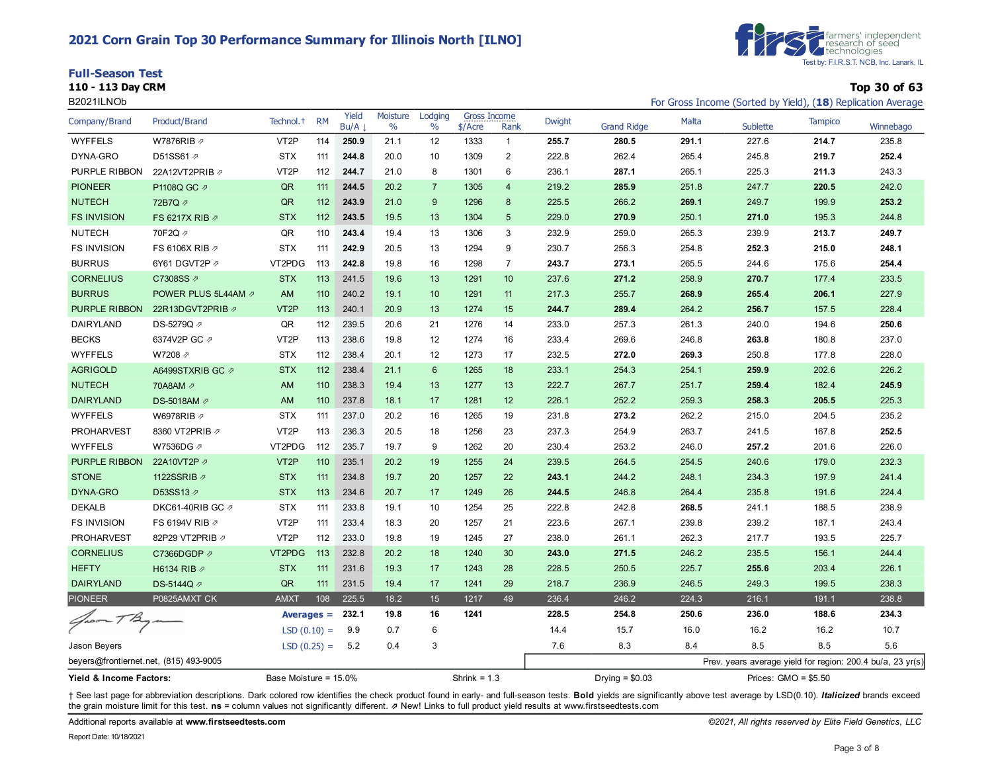# **2021 Corn Grain Top 30 Performance Summary for Illinois North [ILNO]**

|  | <b>Full-Season Test</b> |  |  |
|--|-------------------------|--|--|
|--|-------------------------|--|--|



**110 - 113 Day CRM Top 30 of 63** B2021ILNOb For Gross Income (Sorted by Yield), (18) Replication Average

| Company/Brand                          | Product/Brand       | Technol. <sup>+</sup> | <b>RM</b> | Yield<br>Bu/A      | Moisture<br>$\frac{0}{0}$ | Lodging<br>$\%$  | <b>Gross Income</b><br>$$/$ Acre | Rank           | <b>Dwight</b> | <b>Grand Ridge</b> | Malta | <b>Sublette</b>                                            | <b>Tampico</b> | Winnebago |
|----------------------------------------|---------------------|-----------------------|-----------|--------------------|---------------------------|------------------|----------------------------------|----------------|---------------|--------------------|-------|------------------------------------------------------------|----------------|-----------|
| <b>WYFFELS</b>                         | W7876RIB ク          | VT <sub>2</sub> P     | 114       | 250.9              | 21.1                      | 12               | 1333                             | $\mathbf{1}$   | 255.7         | 280.5              | 291.1 | 227.6                                                      | 214.7          | 235.8     |
| DYNA-GRO                               | D51SS61 2           | <b>STX</b>            | 111       | 244.8              | 20.0                      | 10               | 1309                             | 2              | 222.8         | 262.4              | 265.4 | 245.8                                                      | 219.7          | 252.4     |
| PURPLE RIBBON                          | 22A12VT2PRIB 2      | VT <sub>2</sub> P     | 112       | 244.7              | 21.0                      | 8                | 1301                             | 6              | 236.1         | 287.1              | 265.1 | 225.3                                                      | 211.3          | 243.3     |
| <b>PIONEER</b>                         | P1108Q GC 2         | QR                    | 111       | 244.5              | 20.2                      | $\overline{7}$   | 1305                             | $\overline{4}$ | 219.2         | 285.9              | 251.8 | 247.7                                                      | 220.5          | 242.0     |
| <b>NUTECH</b>                          | 72B7Q 2             | QR                    | 112       | 243.9              | 21.0                      | 9                | 1296                             | 8              | 225.5         | 266.2              | 269.1 | 249.7                                                      | 199.9          | 253.2     |
| <b>FS INVISION</b>                     | FS 6217X RIB 2      | <b>STX</b>            | 112       | 243.5              | 19.5                      | 13               | 1304                             | 5              | 229.0         | 270.9              | 250.1 | 271.0                                                      | 195.3          | 244.8     |
| <b>NUTECH</b>                          | 70F2Q 2             | QR                    | 110       | 243.4              | 19.4                      | 13               | 1306                             | 3              | 232.9         | 259.0              | 265.3 | 239.9                                                      | 213.7          | 249.7     |
| <b>FS INVISION</b>                     | FS 6106X RIB 2      | <b>STX</b>            | 111       | 242.9              | 20.5                      | 13               | 1294                             | 9              | 230.7         | 256.3              | 254.8 | 252.3                                                      | 215.0          | 248.1     |
| <b>BURRUS</b>                          | 6Y61 DGVT2P 2       | VT2PDG                | 113       | 242.8              | 19.8                      | 16               | 1298                             | $\overline{7}$ | 243.7         | 273.1              | 265.5 | 244.6                                                      | 175.6          | 254.4     |
| <b>CORNELIUS</b>                       | C7308SS 2           | <b>STX</b>            | 113       | 241.5              | 19.6                      | 13               | 1291                             | 10             | 237.6         | 271.2              | 258.9 | 270.7                                                      | 177.4          | 233.5     |
| <b>BURRUS</b>                          | POWER PLUS 5L44AM 2 | <b>AM</b>             | 110       | 240.2              | 19.1                      | 10               | 1291                             | 11             | 217.3         | 255.7              | 268.9 | 265.4                                                      | 206.1          | 227.9     |
| PURPLE RIBBON                          | 22R13DGVT2PRIB 2    | VT <sub>2</sub> P     | 113       | 240.1              | 20.9                      | 13               | 1274                             | 15             | 244.7         | 289.4              | 264.2 | 256.7                                                      | 157.5          | 228.4     |
| DAIRYLAND                              | DS-5279Q <i>⊘</i>   | QR                    | 112       | 239.5              | 20.6                      | 21               | 1276                             | 14             | 233.0         | 257.3              | 261.3 | 240.0                                                      | 194.6          | 250.6     |
| <b>BECKS</b>                           | 6374V2P GC 2        | VT <sub>2</sub> P     | 113       | 238.6              | 19.8                      | 12               | 1274                             | 16             | 233.4         | 269.6              | 246.8 | 263.8                                                      | 180.8          | 237.0     |
| <b>WYFFELS</b>                         | W7208 2             | <b>STX</b>            | 112       | 238.4              | 20.1                      | 12               | 1273                             | 17             | 232.5         | 272.0              | 269.3 | 250.8                                                      | 177.8          | 228.0     |
| <b>AGRIGOLD</b>                        | A6499STXRIB GC 2    | <b>STX</b>            | 112       | 238.4              | 21.1                      | 6                | 1265                             | 18             | 233.1         | 254.3              | 254.1 | 259.9                                                      | 202.6          | 226.2     |
| <b>NUTECH</b>                          | 70A8AM 2            | <b>AM</b>             | 110       | 238.3              | 19.4                      | 13               | 1277                             | 13             | 222.7         | 267.7              | 251.7 | 259.4                                                      | 182.4          | 245.9     |
| <b>DAIRYLAND</b>                       | DS-5018AM 2         | <b>AM</b>             | 110       | 237.8              | 18.1                      | 17               | 1281                             | 12             | 226.1         | 252.2              | 259.3 | 258.3                                                      | 205.5          | 225.3     |
| <b>WYFFELS</b>                         | W6978RIB 2          | <b>STX</b>            | 111       | 237.0              | 20.2                      | 16               | 1265                             | 19             | 231.8         | 273.2              | 262.2 | 215.0                                                      | 204.5          | 235.2     |
| <b>PROHARVEST</b>                      | 8360 VT2PRIB 2      | VT <sub>2</sub> P     | 113       | 236.3              | 20.5                      | 18               | 1256                             | 23             | 237.3         | 254.9              | 263.7 | 241.5                                                      | 167.8          | 252.5     |
| <b>WYFFELS</b>                         | W7536DG <sub></sub> | VT2PDG                | 112       | 235.7              | 19.7                      | 9                | 1262                             | 20             | 230.4         | 253.2              | 246.0 | 257.2                                                      | 201.6          | 226.0     |
| PURPLE RIBBON                          | 22A10VT2P           | VT <sub>2</sub> P     | 110       | 235.1              | 20.2                      | 19               | 1255                             | 24             | 239.5         | 264.5              | 254.5 | 240.6                                                      | 179.0          | 232.3     |
| <b>STONE</b>                           | 1122SSRIB 2         | <b>STX</b>            | 111       | 234.8              | 19.7                      | 20               | 1257                             | 22             | 243.1         | 244.2              | 248.1 | 234.3                                                      | 197.9          | 241.4     |
| DYNA-GRO                               | D53SS13 2           | <b>STX</b>            | 113       | 234.6              | 20.7                      | 17               | 1249                             | 26             | 244.5         | 246.8              | 264.4 | 235.8                                                      | 191.6          | 224.4     |
| <b>DEKALB</b>                          | DKC61-40RIB GC ク    | <b>STX</b>            | 111       | 233.8              | 19.1                      | 10               | 1254                             | 25             | 222.8         | 242.8              | 268.5 | 241.1                                                      | 188.5          | 238.9     |
| <b>FS INVISION</b>                     | FS 6194V RIB 2      | VT <sub>2</sub> P     | 111       | 233.4              | 18.3                      | 20               | 1257                             | 21             | 223.6         | 267.1              | 239.8 | 239.2                                                      | 187.1          | 243.4     |
| <b>PROHARVEST</b>                      | 82P29 VT2PRIB 2     | VT <sub>2</sub> P     | 112       | 233.0              | 19.8                      | 19               | 1245                             | 27             | 238.0         | 261.1              | 262.3 | 217.7                                                      | 193.5          | 225.7     |
| <b>CORNELIUS</b>                       | C7366DGDP の         | VT2PDG                | 113       | 232.8              | 20.2                      | 18               | 1240                             | 30             | 243.0         | 271.5              | 246.2 | 235.5                                                      | 156.1          | 244.4     |
| <b>HEFTY</b>                           | H6134 RIB 2         | <b>STX</b>            | 111       | 231.6              | 19.3                      | 17               | 1243                             | 28             | 228.5         | 250.5              | 225.7 | 255.6                                                      | 203.4          | 226.1     |
| <b>DAIRYLAND</b>                       | DS-5144Q 2          | QR                    | 111       | 231.5              | 19.4                      | 17               | 1241                             | 29             | 218.7         | 236.9              | 246.5 | 249.3                                                      | 199.5          | 238.3     |
| <b>PIONEER</b>                         | P0825AMXT CK        | AMXT                  | 108       | 225.5              | 18.2                      | 15 <sub>15</sub> | 1217                             | 49             | 236.4         | 246.2              | 224.3 | 216.1                                                      | 191.1          | 238.8     |
| Groom TBy                              |                     |                       |           | Averages $= 232.1$ | 19.8                      | 16               | 1241                             |                | 228.5         | 254.8              | 250.6 | 236.0                                                      | 188.6          | 234.3     |
|                                        |                     | $LSD(0.10) =$         |           | 9.9                | 0.7                       | 6                |                                  |                | 14.4          | 15.7               | 16.0  | 16.2                                                       | 16.2           | 10.7      |
| Jason Beyers                           |                     | $LSD(0.25) =$         |           | 5.2                | 0.4                       | 3                |                                  |                | 7.6           | 8.3                | 8.4   | 8.5                                                        | 8.5            | 5.6       |
| beyers@frontiernet.net, (815) 493-9005 |                     |                       |           |                    |                           |                  |                                  |                |               |                    |       | Prev. years average yield for region: 200.4 bu/a, 23 yr(s) |                |           |
| Yield & Income Factors:                |                     | Base Moisture = 15.0% |           |                    |                           |                  | Shrink = $1.3$                   |                |               | Drying = $$0.03$   |       | Prices: $GMO = $5.50$                                      |                |           |

+ See last page for abbreviation descriptions. Dark colored row identifies the check product found in early- and full-season tests. Bold yields are significantly above test average by LSD(0.10). Italicized brands exceed the grain moisture limit for this test. **ns** = column values not significantly different. ⇗ New! Links to full product yield results at www.firstseedtests.com

Additional reports available at **[www.firstseedtests.com](https://www.firstseedtests.com)** *©2021, All rights reserved by Elite Field Genetics, LLC*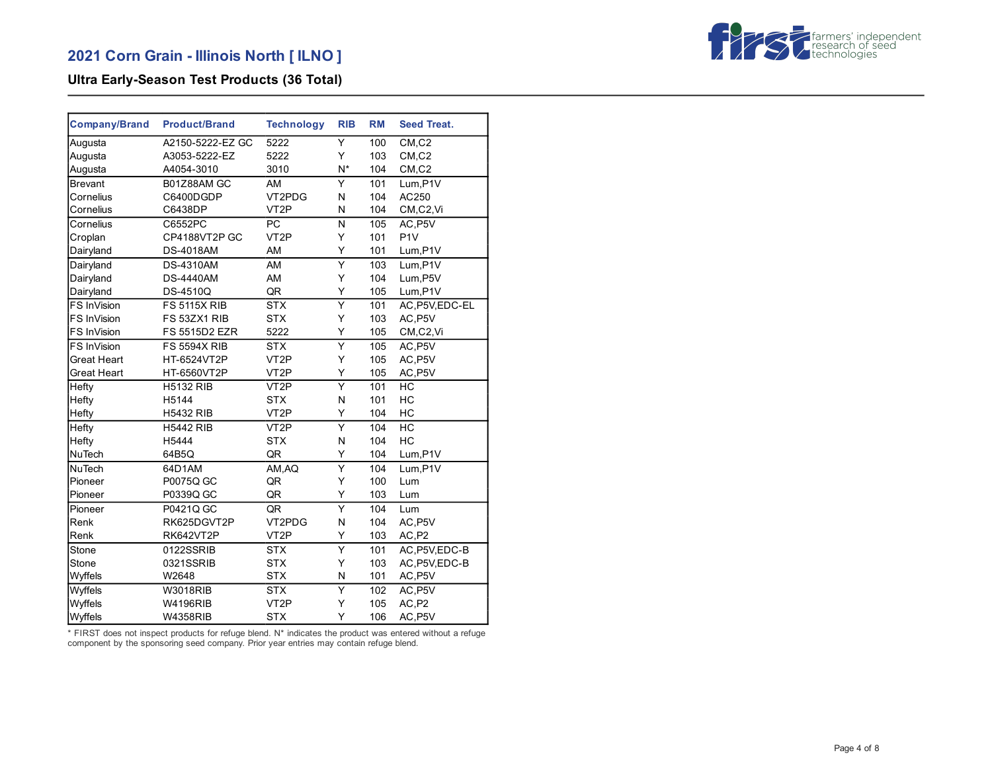

# **Ultra Early-Season Test Products (36 Total)**

| <b>Company/Brand</b> | <b>Product/Brand</b> | <b>Technology</b> | <b>RIB</b>              | <b>RM</b> | <b>Seed Treat.</b> |
|----------------------|----------------------|-------------------|-------------------------|-----------|--------------------|
| Augusta              | A2150-5222-EZ GC     | 5222              | Y                       | 100       | CM, C2             |
| Augusta              | A3053-5222-EZ        | 5222              | Y                       | 103       | CM, C2             |
| Augusta              | A4054-3010           | 3010              | N*                      | 104       | CM, C2             |
| <b>Brevant</b>       | B01Z88AM GC          | AM                | Y                       | 101       | Lum, P1V           |
| Cornelius            | C6400DGDP            | VT2PDG            | N                       | 104       | AC250              |
| Cornelius            | C6438DP              | VT <sub>2</sub> P | N                       | 104       | CM,C2,Vi           |
| Cornelius            | C6552PC              | <b>PC</b>         | N                       | 105       | AC, P5V            |
| Croplan              | CP4188VT2P GC        | VT <sub>2</sub> P | Y                       | 101       | P <sub>1V</sub>    |
| Dairyland            | <b>DS-4018AM</b>     | AM                | Υ                       | 101       | Lum, P1V           |
| Dairyland            | <b>DS-4310AM</b>     | AM                | Υ                       | 103       | Lum,P1V            |
| Dairyland            | <b>DS-4440AM</b>     | AM                | Υ                       | 104       | Lum, P5V           |
| Dairyland            | <b>DS-4510Q</b>      | QR                | Υ                       | 105       | Lum, P1V           |
| FS InVision          | <b>FS 5115X RIB</b>  | <b>STX</b>        | $\overline{Y}$          | 101       | AC, P5V, EDC-EL    |
| FS InVision          | FS 53ZX1 RIB         | <b>STX</b>        | Y                       | 103       | AC, P5V            |
| FS InVision          | FS 5515D2 EZR        | 5222              | Υ                       | 105       | CM,C2,Vi           |
| FS InVision          | <b>FS 5594X RIB</b>  | <b>STX</b>        | Ÿ                       | 105       | AC, P5V            |
| Great Heart          | HT-6524VT2P          | VT <sub>2</sub> P | Y                       | 105       | AC, P5V            |
| Great Heart          | HT-6560VT2P          | VT <sub>2</sub> P | Υ                       | 105       | AC, P5V            |
| Hefty                | <b>H5132 RIB</b>     | VT <sub>2</sub> P | $\overline{\mathsf{Y}}$ | 101       | HC                 |
| Hefty                | H5144                | <b>STX</b>        | N                       | 101       | HC                 |
| Hefty                | <b>H5432 RIB</b>     | VT <sub>2</sub> P | Y                       | 104       | HC                 |
| Hefty                | <b>H5442 RIB</b>     | VT <sub>2</sub> P | $\overline{\mathsf{Y}}$ | 104       | HC                 |
| Hefty                | H5444                | <b>STX</b>        | N                       | 104       | HC                 |
| <b>NuTech</b>        | 64B5Q                | QR                | Υ                       | 104       | Lum, P1V           |
| <b>NuTech</b>        | 64D1AM               | AM, AQ            | $\overline{Y}$          | 104       | Lum, P1V           |
| Pioneer              | P0075Q GC            | QR                | Y                       | 100       | Lum                |
| Pioneer              | P0339Q GC            | QR                | Υ                       | 103       | Lum                |
| Pioneer              | P0421Q GC            | QR                | $\overline{\mathsf{Y}}$ | 104       | Lum                |
| Renk                 | RK625DGVT2P          | VT2PDG            | N                       | 104       | AC, P5V            |
| Renk                 | RK642VT2P            | VT <sub>2</sub> P | Υ                       | 103       | AC,P2              |
| Stone                | 0122SSRIB            | <b>STX</b>        | Υ                       | 101       | AC, P5V, EDC-B     |
| Stone                | 0321SSRIB            | <b>STX</b>        | Υ                       | 103       | AC, P5V, EDC-B     |
| Wyffels              | W2648                | <b>STX</b>        | N                       | 101       | AC, P5V            |
| Wyffels              | <b>W3018RIB</b>      | <b>STX</b>        | Υ                       | 102       | AC, P5V            |
| Wyffels              | <b>W4196RIB</b>      | VT <sub>2</sub> P | Υ                       | 105       | AC, P2             |
| Wyffels              | <b>W4358RIB</b>      | <b>STX</b>        | Y                       | 106       | AC, P5V            |

\* FIRST does not inspect products for refuge blend. N\* indicates the product was entered without a refuge component by the sponsoring seed company. Prior year entries may contain refuge blend.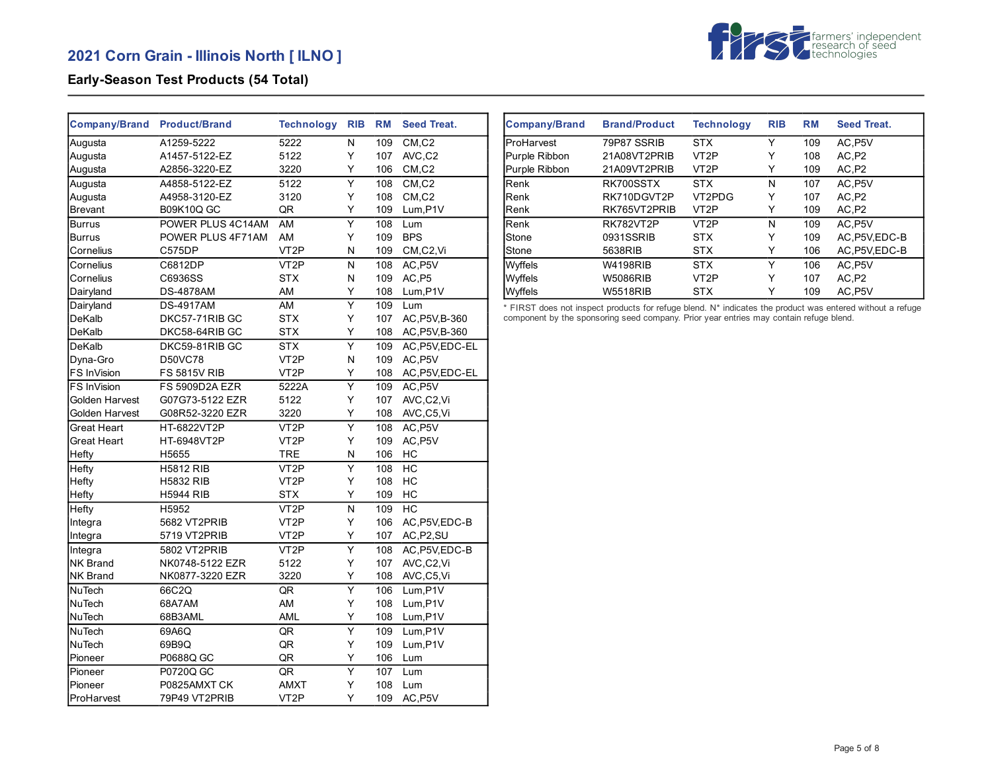# **2021 Corn Grain - Illinois North [ ILNO ]**



### **Early-Season Test Products (54 Total)**

| <b>Company/Brand</b> | <b>Product/Brand</b>  | <b>Technology</b> | <b>RIB</b>              | <b>RM</b> | <b>Seed Treat.</b>                |
|----------------------|-----------------------|-------------------|-------------------------|-----------|-----------------------------------|
| Augusta              | A1259-5222            | 5222              | N                       | 109       | CM, C2                            |
| Augusta              | A1457-5122-EZ         | 5122              | Y                       | 107       | AVC,C2                            |
| Augusta              | A2856-3220-EZ         | 3220              | Y                       | 106       | CM, C2                            |
| Augusta              | A4858-5122-EZ         | 5122              | $\overline{\mathsf{Y}}$ | 108       | CM.C2                             |
| Augusta              | A4958-3120-EZ         | 3120              | Υ                       | 108       | $CM$ <sub>, <math>C2</math></sub> |
| <b>Brevant</b>       | <b>B09K10Q GC</b>     | QR                | Y                       | 109       | Lum, P1V                          |
| Burrus               | POWER PLUS 4C14AM     | AM                | Y                       | 108       | Lum                               |
| Burrus               | POWER PLUS 4F71AM     | AM                | Υ                       | 109       | <b>BPS</b>                        |
| Cornelius            | C575DP                | VT <sub>2</sub> P | Ν                       | 109       | CM,C2,Vi                          |
| Cornelius            | C6812DP               | VT <sub>2</sub> P | N                       | 108       | AC, P5V                           |
| Cornelius            | C6936SS               | <b>STX</b>        | Ν                       | 109       | AC,P5                             |
| Dairyland            | <b>DS-4878AM</b>      | AM                | Υ                       | 108       | Lum, P1V                          |
| Dairyland            | <b>DS-4917AM</b>      | AM                | $\overline{\mathsf{Y}}$ | 109       | Lum                               |
| DeKalb               | DKC57-71RIB GC        | <b>STX</b>        | Υ                       | 107       | AC, P5V, B-360                    |
| DeKalb               | DKC58-64RIB GC        | STX               | Y                       | 108       | AC, P5V, B-360                    |
| DeKalb               | DKC59-81RIB GC        | <b>STX</b>        | Υ                       | 109       | AC, P5V, EDC-EL                   |
| Dyna-Gro             | <b>D50VC78</b>        | VT <sub>2</sub> P | N                       | 109       | AC, P5V                           |
| FS InVision          | <b>FS 5815V RIB</b>   | VT <sub>2</sub> P | Υ                       | 108       | AC, P5V, EDC-EL                   |
| FS InVision          | <b>FS 5909D2A EZR</b> | 5222A             | Υ                       | 109       | AC, P5V                           |
| Golden Harvest       | G07G73-5122 EZR       | 5122              | Υ                       | 107       | AVC,C2,Vi                         |
| Golden Harvest       | G08R52-3220 EZR       | 3220              | Υ                       | 108       | AVC,C5,Vi                         |
| Great Heart          | HT-6822VT2P           | VT <sub>2</sub> P | Υ                       | 108       | AC, P5V                           |
| Great Heart          | HT-6948VT2P           | VT <sub>2</sub> P | Υ                       | 109       | AC, P5V                           |
| Hefty                | H5655                 | TRE               | N                       | 106       | HC                                |
| Hefty                | <b>H5812 RIB</b>      | VT <sub>2</sub> P | Ÿ                       | 108       | HC                                |
| Hefty                | <b>H5832 RIB</b>      | VT <sub>2</sub> P | Υ                       | 108       | НC                                |
| Hefty                | <b>H5944 RIB</b>      | <b>STX</b>        | Υ                       | 109       | НC                                |
| Hefty                | H5952                 | VT <sub>2</sub> P | N                       | 109       | <b>HC</b>                         |
| Integra              | 5682 VT2PRIB          | VT2P              | Υ                       | 106       | AC, P5V, EDC-B                    |
| Integra              | 5719 VT2PRIB          | VT <sub>2</sub> P | Υ                       | 107       | AC, P2, SU                        |
| Integra              | 5802 VT2PRIB          | VT <sub>2</sub> P | $\overline{\mathsf{Y}}$ | 108       | AC, P5V, EDC-B                    |
| <b>NK Brand</b>      | NK0748-5122 EZR       | 5122              | Y                       | 107       | AVC,C2,Vi                         |
| NK Brand             | NK0877-3220 EZR       | 3220              | Y                       | 108       | AVC,C5,Vi                         |
| <b>NuTech</b>        | 66C2Q                 | QR                | $\overline{\mathsf{Y}}$ | 106       | Lum, P1V                          |
| NuTech               | 68A7AM                | AM                | Y                       | 108       | Lum, P1V                          |
| NuTech               | 68B3AML               | AML               | Y                       | 108       | Lum, P1V                          |
| NuTech               | 69A6Q                 | QR                | Y                       | 109       | Lum, P1V                          |
| NuTech               | 69B9Q                 | QR                | Υ                       | 109       | Lum, P1V                          |
| Pioneer              | P0688Q GC             | QR                | Υ                       | 106       | Lum                               |
| Pioneer              | P0720Q GC             | QR                | Y                       | 107       | Lum                               |
| Pioneer              | P0825AMXT CK          | <b>AMXT</b>       | Y                       | 108       | Lum                               |
| ProHarvest           | 79P49 VT2PRIB         | VT <sub>2</sub> P | Υ                       | 109       | AC, P5V                           |

| <b>Company/Brand</b> | <b>Brand/Product</b> | <b>Technology</b> | <b>RIB</b> | RM  | <b>Seed Treat.</b> |
|----------------------|----------------------|-------------------|------------|-----|--------------------|
| ProHarvest           | 79P87 SSRIB          | <b>STX</b>        | Υ          | 109 | AC.P5V             |
| Purple Ribbon        | 21A08VT2PRIB         | VT <sub>2</sub> P | Y          | 108 | AC.P2              |
| Purple Ribbon        | 21A09VT2PRIB         | VT <sub>2</sub> P | Y          | 109 | AC.P2              |
| Renk                 | RK700SSTX            | <b>STX</b>        | N          | 107 | AC.P5V             |
| <b>IRenk</b>         | RK710DGVT2P          | VT2PDG            | Υ          | 107 | AC,P2              |
| <b>IRenk</b>         | RK765VT2PRIB         | VT <sub>2</sub> P | Y          | 109 | AC,P2              |
| Renk                 | RK782VT2P            | VT <sub>2</sub> P | N          | 109 | AC.P5V             |
| <b>Stone</b>         | 0931SSRIB            | <b>STX</b>        | Y          | 109 | AC.P5V.EDC-B       |
| <b>Stone</b>         | 5638RIB              | <b>STX</b>        | Y          | 106 | AC, P5V, EDC-B     |
| Wyffels              | <b>W4198RIB</b>      | <b>STX</b>        | Υ          | 106 | AC.P5V             |
| Wyffels              | <b>W5086RIB</b>      | VT <sub>2</sub> P | Y          | 107 | AC.P2              |
| Wyffels              | <b>W5518RIB</b>      | <b>STX</b>        | Y          | 109 | AC, P5V            |

\* FIRST does not inspect products for refuge blend. N\* indicates the product was entered without a refuge component by the sponsoring seed company. Prior year entries may contain refuge blend.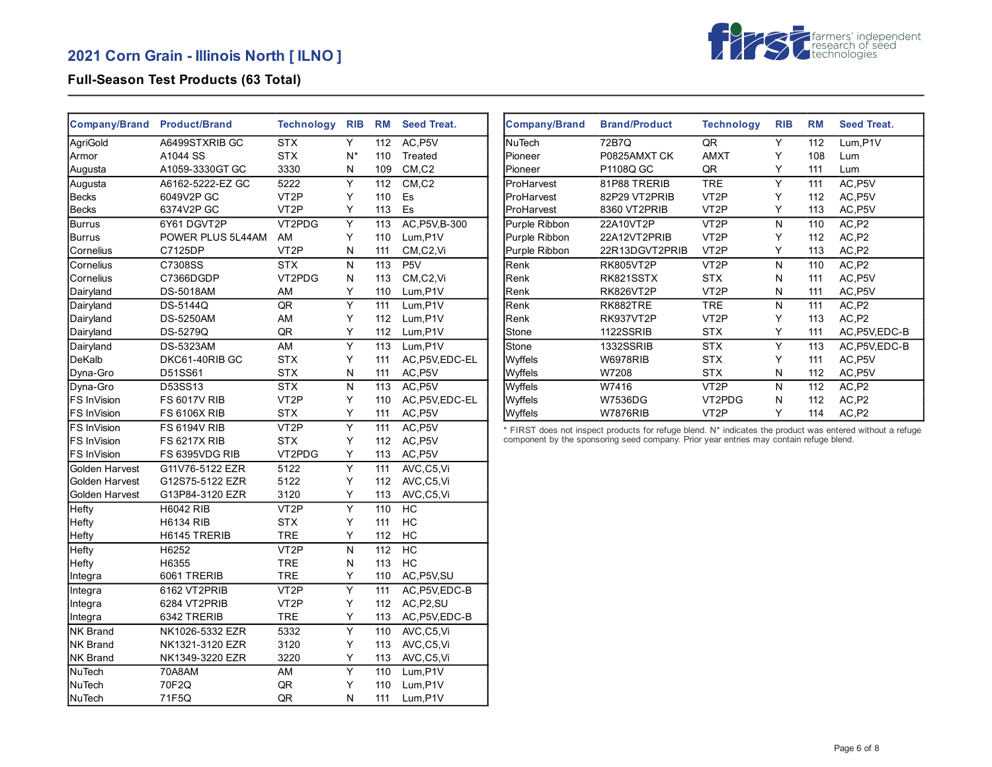

### **Full-Season Test Products (63 Total)**

| Company/Brand Product/Brand |                     | <b>Technology</b> | <b>RIB</b>              | <b>RM</b> | <b>Seed Treat.</b>             |
|-----------------------------|---------------------|-------------------|-------------------------|-----------|--------------------------------|
| AgriGold                    | A6499STXRIB GC      | <b>STX</b>        | Y                       | 112       | AC, P5V                        |
| Armor                       | A1044 SS            | <b>STX</b>        | N*                      | 110       | Treated                        |
| Augusta                     | A1059-3330GT GC     | 3330              | Ν                       | 109       | CM <sub>.</sub> C <sub>2</sub> |
| Augusta                     | A6162-5222-EZ GC    | 5222              | Υ                       | 112       | CM, C2                         |
| <b>Becks</b>                | 6049V2P GC          | VT <sub>2</sub> P | Y                       | 110       | Es                             |
| <b>Becks</b>                | 6374V2P GC          | VT <sub>2</sub> P | Υ                       | 113       | Es                             |
| <b>Burrus</b>               | 6Y61 DGVT2P         | VT2PDG            | Ÿ                       | 113       | AC, P5V, B-300                 |
| Burrus                      | POWER PLUS 5L44AM   | AM                | Υ                       | 110       | Lum, P1V                       |
| Cornelius                   | C7125DP             | VT <sub>2</sub> P | N                       | 111       | CM,C2,Vi                       |
| Cornelius                   | C7308SS             | <b>STX</b>        | N                       | 113       | P <sub>5</sub> V               |
| Cornelius                   | C7366DGDP           | VT2PDG            | N                       | 113       | CM,C2,Vi                       |
| Dairyland                   | <b>DS-5018AM</b>    | AM                | Y                       | 110       | Lum,P1V                        |
| Dairyland                   | DS-5144Q            | QR                | $\overline{\mathsf{Y}}$ | 111       | Lum,P1V                        |
| Dairyland                   | <b>DS-5250AM</b>    | AM                | Υ                       | 112       | Lum, P1V                       |
| Dairyland                   | DS-5279Q            | QR                | Υ                       | 112       | Lum, P1V                       |
| Dairyland                   | <b>DS-5323AM</b>    | AM                | Y                       | 113       | Lum,P1V                        |
| DeKalb                      | DKC61-40RIB GC      | <b>STX</b>        | Υ                       | 111       | AC, P5V, EDC-EL                |
| Dyna-Gro                    | D51SS61             | <b>STX</b>        | N                       | 111       | AC, P5V                        |
| Dyna-Gro                    | D53SS13             | <b>STX</b>        | N                       | 113       | AC.P5V                         |
| FS InVision                 | <b>FS 6017V RIB</b> | VT <sub>2</sub> P | Y                       | 110       | AC, P5V, EDC-EL                |
| FS InVision                 | <b>FS 6106X RIB</b> | <b>STX</b>        | Y                       | 111       | AC, P5V                        |
| FS InVision                 | <b>FS 6194V RIB</b> | VT <sub>2</sub> P | $\overline{\mathsf{Y}}$ | 111       | AC, P5V                        |
| FS InVision                 | <b>FS 6217X RIB</b> | <b>STX</b>        | Y                       | 112       | AC, P5V                        |
| FS InVision                 | FS 6395VDG RIB      | VT2PDG            | Υ                       | 113       | AC, P5V                        |
| Golden Harvest              | G11V76-5122 EZR     | 5122              | $\overline{\mathsf{Y}}$ | 111       | AVC,C5,Vi                      |
| Golden Harvest              | G12S75-5122 EZR     | 5122              | Υ                       | 112       | AVC,C5,Vi                      |
| Golden Harvest              | G13P84-3120 EZR     | 3120              | Y                       | 113       | AVC,C5,Vi                      |
| Hefty                       | <b>H6042 RIB</b>    | VT <sub>2</sub> P | $\overline{\mathsf{Y}}$ | 110       | HC                             |
| Hefty                       | <b>H6134 RIB</b>    | <b>STX</b>        | Y                       | 111       | HC                             |
| Hefty                       | H6145 TRERIB        | <b>TRE</b>        | Υ                       | 112       | HC                             |
| Hefty                       | H6252               | VT <sub>2</sub> P | N                       | 112       | HC                             |
| Hefty                       | H6355               | <b>TRE</b>        | N                       | 113       | HC                             |
| Integra                     | 6061 TRERIB         | <b>TRE</b>        | Y                       | 110       | AC, P5V, SU                    |
| Integra                     | 6162 VT2PRIB        | VT <sub>2</sub> P | Υ                       | 111       | AC, P5V, EDC-B                 |
| Integra                     | 6284 VT2PRIB        | VT <sub>2</sub> P | Y                       | 112       | AC, P <sub>2</sub> , SU        |
| Integra                     | 6342 TRERIB         | <b>TRE</b>        | Y                       | 113       | AC, P5V, EDC-B                 |
| <b>NK Brand</b>             | NK1026-5332 EZR     | 5332              | Υ                       | 110       | AVC,C5,Vi                      |
| <b>NK Brand</b>             | NK1321-3120 EZR     | 3120              | Υ                       | 113       | AVC,C5,Vi                      |
| <b>NK Brand</b>             | NK1349-3220 EZR     | 3220              | Y                       | 113       | AVC,C5,Vi                      |
| <b>NuTech</b>               | 70A8AM              | AM                | Υ                       | 110       | Lum,P1V                        |
| <b>NuTech</b>               | 70F2Q               | QR                | Y                       | 110       | Lum, P1V                       |
| <b>NuTech</b>               | 71F5Q               | QR                | Ν                       | 111       | Lum,P1V                        |

| <b>Company/Brand</b> | <b>Brand/Product</b> | <b>Technology</b> | <b>RIB</b> | <b>RM</b> | <b>Seed Treat.</b> |
|----------------------|----------------------|-------------------|------------|-----------|--------------------|
| lNuTech              | 72B7Q                | QR                | Υ          | 112       | $Lum$ , $P1V$      |
| Pioneer              | P0825AMXTCK          | <b>AMXT</b>       | Υ          | 108       | Lum                |
| Pioneer              | P1108Q GC            | QR                | Y          | 111       | Lum                |
| ProHarvest           | 81P88 TRERIB         | <b>TRE</b>        | Υ          | 111       | AC, P5V            |
| ProHarvest           | 82P29 VT2PRIB        | VT <sub>2</sub> P | Υ          | 112       | AC, P5V            |
| ProHarvest           | 8360 VT2PRIB         | VT <sub>2</sub> P | Y          | 113       | AC, P5V            |
| Purple Ribbon        | 22A10VT2P            | VT <sub>2</sub> P | N          | 110       | AC,P2              |
| Purple Ribbon        | 22A12VT2PRIB         | VT <sub>2</sub> P | Y          | 112       | AC,P2              |
| Purple Ribbon        | 22R13DGVT2PRIB       | VT <sub>2</sub> P | Y          | 113       | AC, P2             |
| Renk                 | <b>RK805VT2P</b>     | VT <sub>2</sub> P | N          | 110       | AC,P2              |
| Renk                 | RK821SSTX            | <b>STX</b>        | N          | 111       | AC, P5V            |
| Renk                 | RK826VT2P            | VT <sub>2</sub> P | N          | 111       | AC, P5V            |
| Renk                 | RK882TRE             | <b>TRE</b>        | N          | 111       | AC,P2              |
| Renk                 | RK937VT2P            | VT <sub>2</sub> P | Υ          | 113       | AC.P2              |
| Stone                | 1122SSRIB            | <b>STX</b>        | Y          | 111       | AC, P5V, EDC-B     |
| Stone                | 1332SSRIB            | <b>STX</b>        | Υ          | 113       | AC, P5V, EDC-B     |
| Wyffels              | <b>W6978RIB</b>      | <b>STX</b>        | Y          | 111       | AC, P5V            |
| Wyffels              | W7208                | <b>STX</b>        | N          | 112       | AC, P5V            |
| Wyffels              | W7416                | VT <sub>2</sub> P | N          | 112       | AC,P2              |
| Wyffels              | <b>W7536DG</b>       | VT2PDG            | N          | 112       | AC,P2              |
| Wyffels              | <b>W7876RIB</b>      | VT2P              | Y          | 114       | AC, P2             |

\* FIRST does not inspect products for refuge blend. N\* indicates the product was entered without a refuge component by the sponsoring seed company. Prior year entries may contain refuge blend.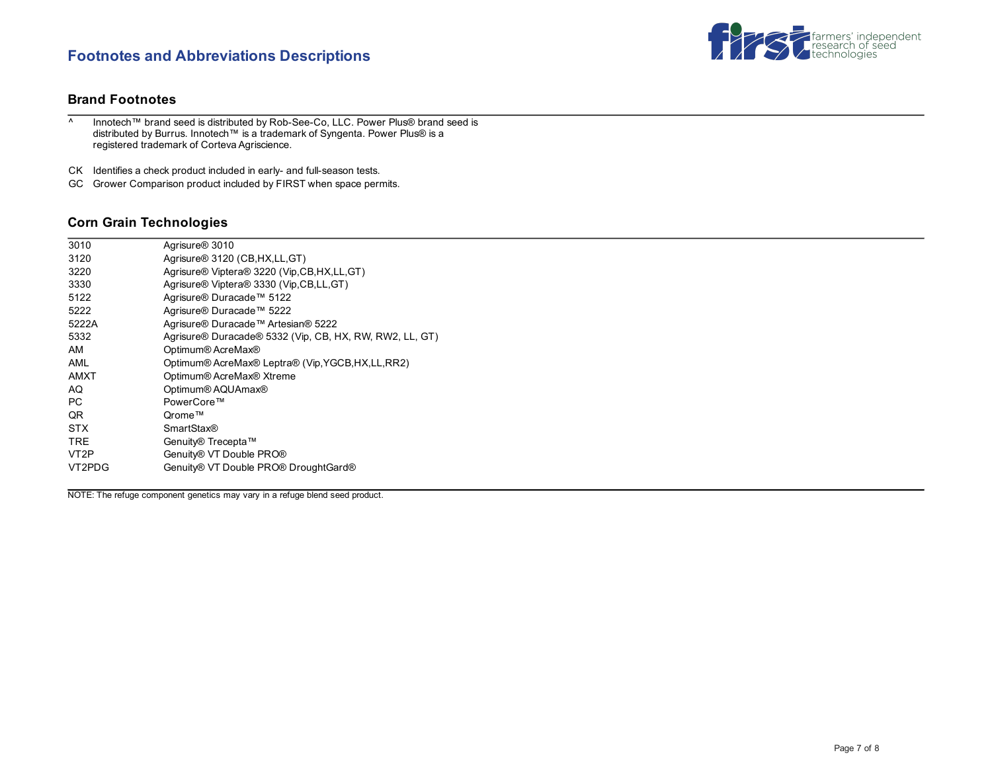# **Footnotes and Abbreviations Descriptions**



#### **Brand Footnotes**

^ Innotech™ brand seed is distributed by Rob-See-Co, LLC. Power Plus® brand seed is distributed by Burrus. Innotech™ is a trademark of Syngenta. Power Plus® is a registered trademark of Corteva Agriscience.

CK Identifies a check product included in early- and full-season tests.

GC Grower Comparison product included by FIRST when space permits.

#### **Corn Grain Technologies**

| 3010              | Agrisure <sup>®</sup> 3010                              |
|-------------------|---------------------------------------------------------|
| 3120              | Agrisure <sup>®</sup> 3120 (CB, HX, LL, GT)             |
| 3220              | Agrisure® Viptera® 3220 (Vip, CB, HX, LL, GT)           |
| 3330              | Agrisure® Viptera® 3330 (Vip, CB, LL, GT)               |
| 5122              | Agrisure® Duracade™ 5122                                |
| 5222              | Agrisure® Duracade™ 5222                                |
| 5222A             | Agrisure® Duracade™ Artesian® 5222                      |
| 5332              | Agrisure® Duracade® 5332 (Vip, CB, HX, RW, RW2, LL, GT) |
| AM                | Optimum® AcreMax®                                       |
| AML               | Optimum® AcreMax® Leptra® (Vip, YGCB, HX, LL, RR2)      |
| AMXT              | Optimum® AcreMax® Xtreme                                |
| AQ                | Optimum® AQUAmax®                                       |
| PC.               | PowerCore™                                              |
| QR                | Qrome™                                                  |
| <b>STX</b>        | <b>SmartStax®</b>                                       |
| <b>TRE</b>        | Genuity® Trecepta™                                      |
| VT <sub>2</sub> P | Genuity® VT Double PRO®                                 |
| VT2PDG            | Genuity® VT Double PRO® DroughtGard®                    |
|                   |                                                         |

NOTE: The refuge component genetics may vary in a refuge blend seed product.